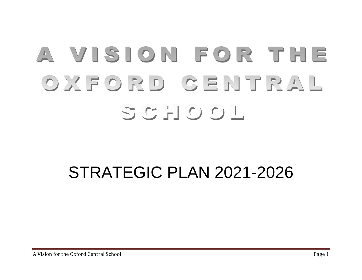# A VISION FOR THE OXFORD GENTRAL SCHOOL

# STRATEGIC PLAN 2021-2026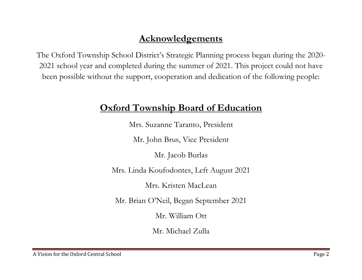# **Acknowledgements**

The Oxford Township School District's Strategic Planning process began during the 2020- 2021 school year and completed during the summer of 2021. This project could not have been possible without the support, cooperation and dedication of the following people:

## **Oxford Township Board of Education**

Mrs. Suzanne Taranto, President

Mr. John Brus, Vice President

Mr. Jacob Burlas

Mrs. Linda Koufodontes, Left August 2021

Mrs. Kristen MacLean

Mr. Brian O'Neil, Began September 2021

Mr. William Ott

Mr. Michael Zulla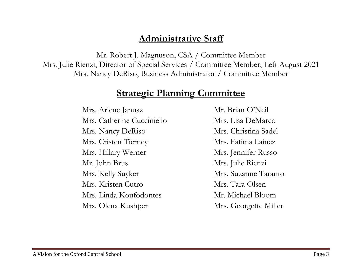## **Administrative Staff**

Mr. Robert J. Magnuson, CSA / Committee Member Mrs. Julie Rienzi, Director of Special Services / Committee Member, Left August 2021 Mrs. Nancy DeRiso, Business Administrator / Committee Member

### **Strategic Planning Committee**

Mrs. Arlene Janusz Mr. Brian O'Neil Mrs. Catherine Cucciniello Mrs. Lisa DeMarco Mrs. Nancy DeRiso Mrs. Christina Sadel Mrs. Cristen Tierney Mrs. Fatima Lainez Mrs. Hillary Werner Mrs. Jennifer Russo Mr. John Brus Mrs. Julie Rienzi Mrs. Kelly Suyker Mrs. Suzanne Taranto Mrs. Kristen Cutro Mrs. Tara Olsen Mrs. Linda Koufodontes Mr. Michael Bloom Mrs. Olena Kushper Mrs. Georgette Miller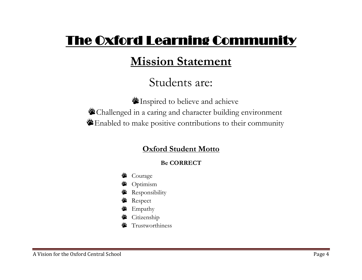# The Oxford Learning Community

# **Mission Statement**

# Students are:

Inspired to believe and achieve Challenged in a caring and character building environment Enabled to make positive contributions to their community

### **Oxford Student Motto**

#### **Be CORRECT**

- **S** Courage
- **<sup>参</sup>** Optimism
- **Responsibility**
- **Respect**
- **学** Empathy
- **S** Citizenship
- Trustworthiness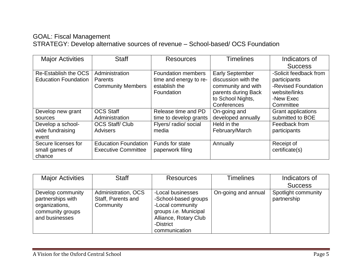#### GOAL: Fiscal Management STRATEGY: Develop alternative sources of revenue – School-based/ OCS Foundation

| <b>Major Activities</b>     | <b>Staff</b>                | <b>Resources</b>          | <b>Timelines</b>       | Indicators of             |
|-----------------------------|-----------------------------|---------------------------|------------------------|---------------------------|
|                             |                             |                           |                        | <b>Success</b>            |
| Re-Establish the OCS        | Administration              | <b>Foundation members</b> | <b>Early September</b> | -Solicit feedback from    |
| <b>Education Foundation</b> | Parents                     | time and energy to re-    | discussion with the    | participants              |
|                             | <b>Community Members</b>    | establish the             | community and with     | -Revised Foundation       |
|                             |                             | Foundation                | parents during Back    | website/links             |
|                             |                             |                           | to School Nights,      | -New Exec                 |
|                             |                             |                           | Conferences            | Committee                 |
| Develop new grant           | <b>OCS Staff</b>            | Release time and PD       | On-going and           | <b>Grant applications</b> |
| sources                     | Administration              | time to develop grants    | developed annually     | submitted to BOE          |
| Develop a school-           | <b>OCS Staff/Club</b>       | Flyers/ radio/ social     | Held in the            | Feedback from             |
| wide fundraising            | <b>Advisers</b>             | media                     | February/March         | participants              |
| event                       |                             |                           |                        |                           |
| Secure licenses for         | <b>Education Foundation</b> | Funds for state           | Annually               | Receipt of                |
| small games of              | <b>Executive Committee</b>  | paperwork filing          |                        | certificate(s)            |
| chance                      |                             |                           |                        |                           |

| <b>Major Activities</b>                                                                        | <b>Staff</b>                                           | <b>Resources</b>                                                                                                                                     | <b>Timelines</b>    | Indicators of                      |
|------------------------------------------------------------------------------------------------|--------------------------------------------------------|------------------------------------------------------------------------------------------------------------------------------------------------------|---------------------|------------------------------------|
|                                                                                                |                                                        |                                                                                                                                                      |                     | <b>Success</b>                     |
| Develop community<br>partnerships with<br>organizations,<br>community groups<br>and businesses | Administration, OCS<br>Staff, Parents and<br>Community | -Local businesses<br>-School-based groups<br>-Local community<br>groups <i>i.e.</i> Municipal<br>Alliance, Rotary Club<br>-District<br>communication | On-going and annual | Spotlight community<br>partnership |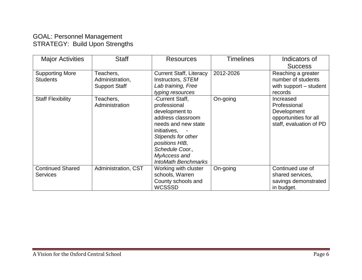#### GOAL: Personnel Management STRATEGY: Build Upon Strengths

| <b>Major Activities</b>  | <b>Staff</b>         | Resources                      | <b>Timelines</b> | Indicators of           |
|--------------------------|----------------------|--------------------------------|------------------|-------------------------|
|                          |                      |                                |                  | <b>Success</b>          |
| <b>Supporting More</b>   | Teachers,            | <b>Current Staff, Literacy</b> | 2012-2026        | Reaching a greater      |
| <b>Students</b>          | Administration,      | Instructors, STEM              |                  | number of students      |
|                          | <b>Support Staff</b> | Lab training, Free             |                  | with support – student  |
|                          |                      | typing resources               |                  | records                 |
| <b>Staff Flexibility</b> | Teachers,            | -Current Staff,                | On-going         | Increased               |
|                          | Administration       | professional                   |                  | Professional            |
|                          |                      | development to                 |                  | Development             |
|                          |                      | address classroom              |                  | opportunities for all   |
|                          |                      | needs and new state            |                  | staff, evaluation of PD |
|                          |                      | initiatives,                   |                  |                         |
|                          |                      | Stipends for other             |                  |                         |
|                          |                      | positions HIB,                 |                  |                         |
|                          |                      | Schedule Coor.,                |                  |                         |
|                          |                      | MyAccess and                   |                  |                         |
|                          |                      | <b>IntoMath Benchmarks</b>     |                  |                         |
| <b>Continued Shared</b>  | Administration, CST  | Working with cluster           | On-going         | Continued use of        |
| <b>Services</b>          |                      | schools, Warren                |                  | shared services,        |
|                          |                      | County schools and             |                  | savings demonstrated    |
|                          |                      | WCSSSD                         |                  | in budget.              |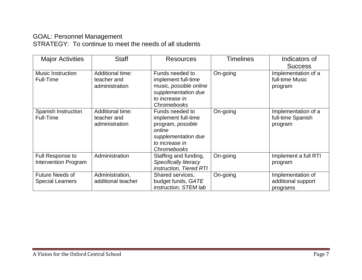#### GOAL: Personnel Management STRATEGY: To continue to meet the needs of all students

| <b>Major Activities</b>                           | <b>Staff</b>                                             | <b>Resources</b>                                                                                                                     | <b>Timelines</b> | Indicators of<br><b>Success</b>                     |
|---------------------------------------------------|----------------------------------------------------------|--------------------------------------------------------------------------------------------------------------------------------------|------------------|-----------------------------------------------------|
| <b>Music Instruction</b><br>Full-Time             | <b>Additional time:</b><br>teacher and<br>administration | Funds needed to<br>implement full-time<br>music, possible online<br>supplementation due<br>to increase in<br><b>Chromebooks</b>      | On-going         | Implementation of a<br>full-time Music<br>program   |
| Spanish Instruction<br>Full-Time                  | <b>Additional time:</b><br>teacher and<br>administration | Funds needed to<br>implement full-time<br>program, possible<br>online<br>supplementation due<br>to increase in<br><b>Chromebooks</b> | On-going         | Implementation of a<br>full-time Spanish<br>program |
| Full Response to<br><b>Intervention Program</b>   | Administration                                           | Staffing and funding,<br><b>Specifically literacy</b><br>instruction, Tiered RTI                                                     | On-going         | Implement a full RTI<br>program                     |
| <b>Future Needs of</b><br><b>Special Learners</b> | Administration,<br>additional teacher                    | Shared services,<br>budget funds, GATE<br>instruction, STEM lab                                                                      | On-going         | Implementation of<br>additional support<br>programs |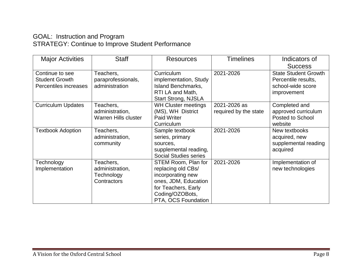#### GOAL: Instruction and Program STRATEGY: Continue to Improve Student Performance

| <b>Major Activities</b>                                           | <b>Staff</b>                                                | <b>Resources</b>                                                                                                                                        | <b>Timelines</b>                      | Indicators of<br><b>Success</b>                                                        |
|-------------------------------------------------------------------|-------------------------------------------------------------|---------------------------------------------------------------------------------------------------------------------------------------------------------|---------------------------------------|----------------------------------------------------------------------------------------|
| Continue to see<br><b>Student Growth</b><br>Percentiles increases | Teachers,<br>paraprofessionals,<br>administration           | Curriculum<br>implementation, Study<br><b>Island Benchmarks,</b><br>RTI LA and Math,<br><b>Start Strong, NJSLA</b>                                      | 2021-2026                             | <b>State Student Growth</b><br>Percentile results,<br>school-wide score<br>improvement |
| <b>Curriculum Updates</b>                                         | Teachers,<br>administration,<br><b>Warren Hills cluster</b> | <b>WH Cluster meetings</b><br>(MS), WH District<br><b>Paid Writer</b><br>Curriculum                                                                     | 2021-2026 as<br>required by the state | Completed and<br>approved curriculum<br><b>Posted to School</b><br>website             |
| <b>Textbook Adoption</b>                                          | Teachers,<br>administration,<br>community                   | Sample textbook<br>series, primary<br>sources,<br>supplemental reading,<br><b>Social Studies series</b>                                                 | 2021-2026                             | New textbooks<br>acquired, new<br>supplemental reading<br>acquired                     |
| Technology<br>Implementation                                      | Teachers,<br>administration,<br>Technology<br>Contractors   | STEM Room, Plan for<br>replacing old CBs/<br>incorporating new<br>ones, JDM, Education<br>for Teachers, Early<br>Coding/OZOBots,<br>PTA, OCS Foundation | 2021-2026                             | Implementation of<br>new technologies                                                  |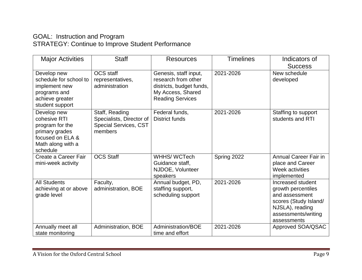#### GOAL: Instruction and Program STRATEGY: Continue to Improve Student Performance

| <b>Major Activities</b>                                                                                               | <b>Staff</b>                                                                          | <b>Resources</b>                                                                                                         | <b>Timelines</b> | Indicators of<br><b>Success</b>                                                                                                             |
|-----------------------------------------------------------------------------------------------------------------------|---------------------------------------------------------------------------------------|--------------------------------------------------------------------------------------------------------------------------|------------------|---------------------------------------------------------------------------------------------------------------------------------------------|
| Develop new<br>schedule for school to<br>implement new<br>programs and<br>achieve greater<br>student support          | OCS staff<br>representatives,<br>administration                                       | Genesis, staff input,<br>research from other<br>districts, budget funds,<br>My Access, Shared<br><b>Reading Services</b> | 2021-2026        | New schedule<br>developed                                                                                                                   |
| Develop new<br>cohesive RTI<br>program for the<br>primary grades<br>focused on ELA &<br>Math along with a<br>schedule | Staff, Reading<br>Specialists, Director of<br><b>Special Services, CST</b><br>members | Federal funds,<br><b>District funds</b>                                                                                  | 2021-2026        | Staffing to support<br>students and RTI                                                                                                     |
| Create a Career Fair<br>mini-week activity                                                                            | <b>OCS Staff</b>                                                                      | WHHS/WCTech<br>Guidance staff,<br>NJDOE, Volunteer<br>speakers                                                           | Spring 2022      | <b>Annual Career Fair in</b><br>place and Career<br>Week activities<br>implemented                                                          |
| <b>All Students</b><br>achieving at or above<br>grade level                                                           | Faculty,<br>administration, BOE                                                       | Annual budget, PD,<br>staffing support,<br>scheduling support                                                            | 2021-2026        | Increased student<br>growth percentiles<br>and assessment<br>scores (Study Island/<br>NJSLA), reading<br>assessments/writing<br>assessments |
| Annually meet all<br>state monitoring                                                                                 | Administration, BOE                                                                   | Administration/BOE<br>time and effort                                                                                    | 2021-2026        | Approved SOA/QSAC                                                                                                                           |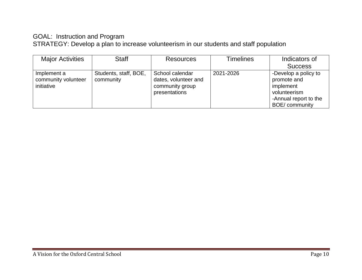#### GOAL: Instruction and Program

STRATEGY: Develop a plan to increase volunteerism in our students and staff population

| <b>Major Activities</b>                          | <b>Staff</b>                       | <b>Resources</b>                                                            | <b>Timelines</b> | Indicators of                                                                                               |
|--------------------------------------------------|------------------------------------|-----------------------------------------------------------------------------|------------------|-------------------------------------------------------------------------------------------------------------|
|                                                  |                                    |                                                                             |                  | <b>Success</b>                                                                                              |
| Implement a<br>community volunteer<br>initiative | Students, staff, BOE,<br>community | School calendar<br>dates, volunteer and<br>community group<br>presentations | 2021-2026        | -Develop a policy to<br>promote and<br>implement<br>volunteerism<br>-Annual report to the<br>BOE/ community |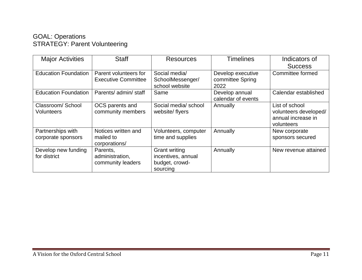#### GOAL: Operations STRATEGY: Parent Volunteering

| <b>Major Activities</b>                 | <b>Staff</b>                                        | Resources                                                                | <b>Timelines</b>                              | Indicators of<br><b>Success</b>                                             |
|-----------------------------------------|-----------------------------------------------------|--------------------------------------------------------------------------|-----------------------------------------------|-----------------------------------------------------------------------------|
| <b>Education Foundation</b>             | Parent volunteers for<br><b>Executive Committee</b> | Social media/<br>SchoolMessenger/<br>school website                      | Develop executive<br>committee Spring<br>2022 | Committee formed                                                            |
| <b>Education Foundation</b>             | Parents/ admin/ staff                               | Same                                                                     | Develop annual<br>calendar of events          | Calendar established                                                        |
| Classroom/School<br><b>Volunteers</b>   | OCS parents and<br>community members                | Social media/school<br>website/flyers                                    | Annually                                      | List of school<br>volunteers developed/<br>annual increase in<br>volunteers |
| Partnerships with<br>corporate sponsors | Notices written and<br>mailed to<br>corporations/   | Volunteers, computer<br>time and supplies                                | Annually                                      | New corporate<br>sponsors secured                                           |
| Develop new funding<br>for district     | Parents,<br>administration,<br>community leaders    | <b>Grant writing</b><br>incentives, annual<br>budget, crowd-<br>sourcing | Annually                                      | New revenue attained                                                        |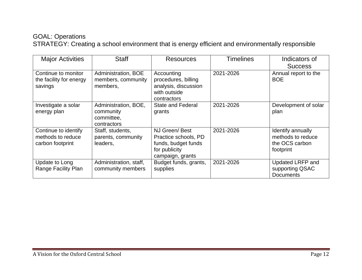#### GOAL: Operations

STRATEGY: Creating a school environment that is energy efficient and environmentally responsible

| <b>Major Activities</b>                                       | <b>Staff</b>                                                   | <b>Resources</b>                                                                                  | <b>Timelines</b> | Indicators of<br><b>Success</b>                                       |
|---------------------------------------------------------------|----------------------------------------------------------------|---------------------------------------------------------------------------------------------------|------------------|-----------------------------------------------------------------------|
| Continue to monitor<br>the facility for energy<br>savings     | Administration, BOE<br>members, community<br>members,          | Accounting<br>procedures, billing<br>analysis, discussion<br>with outside<br>contractors          | 2021-2026        | Annual report to the<br><b>BOE</b>                                    |
| Investigate a solar<br>energy plan                            | Administration, BOE,<br>community<br>committee,<br>contractors | <b>State and Federal</b><br>grants                                                                | 2021-2026        | Development of solar<br>plan                                          |
| Continue to identify<br>methods to reduce<br>carbon footprint | Staff, students,<br>parents, community<br>leaders,             | NJ Green/Best<br>Practice schools, PD<br>funds, budget funds<br>for publicity<br>campaign, grants | 2021-2026        | Identify annually<br>methods to reduce<br>the OCS carbon<br>footprint |
| Update to Long<br>Range Facility Plan                         | Administration, staff,<br>community members                    | Budget funds, grants,<br>supplies                                                                 | 2021-2026        | <b>Updated LRFP and</b><br>supporting QSAC<br><b>Documents</b>        |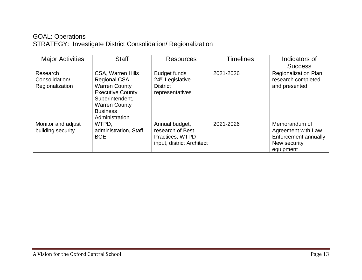#### GOAL: Operations STRATEGY: Investigate District Consolidation/ Regionalization

| <b>Major Activities</b>                       | <b>Staff</b>                                                                                                                                                                 | <b>Resources</b>                                                                          | <b>Timelines</b> | Indicators of<br><b>Success</b>                                                          |
|-----------------------------------------------|------------------------------------------------------------------------------------------------------------------------------------------------------------------------------|-------------------------------------------------------------------------------------------|------------------|------------------------------------------------------------------------------------------|
| Research<br>Consolidation/<br>Regionalization | <b>CSA, Warren Hills</b><br>Regional CSA,<br><b>Warren County</b><br><b>Executive County</b><br>Superintendent,<br><b>Warren County</b><br><b>Business</b><br>Administration | <b>Budget funds</b><br>24 <sup>th</sup> Legislative<br><b>District</b><br>representatives | 2021-2026        | <b>Regionalization Plan</b><br>research completed<br>and presented                       |
| Monitor and adjust<br>building security       | WTPD.<br>administration, Staff,<br><b>BOE</b>                                                                                                                                | Annual budget,<br>research of Best<br>Practices, WTPD<br>input, district Architect        | 2021-2026        | Memorandum of<br>Agreement with Law<br>Enforcement annually<br>New security<br>equipment |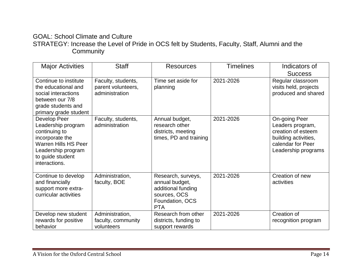#### GOAL: School Climate and Culture STRATEGY: Increase the Level of Pride in OCS felt by Students, Faculty, Staff, Alumni and the **Community**

| <b>Major Activities</b>                                                                                                                                          | <b>Staff</b>                                               | <b>Resources</b>                                                                                            | <b>Timelines</b> | Indicators of<br><b>Success</b>                                                                                             |
|------------------------------------------------------------------------------------------------------------------------------------------------------------------|------------------------------------------------------------|-------------------------------------------------------------------------------------------------------------|------------------|-----------------------------------------------------------------------------------------------------------------------------|
| Continue to institute<br>the educational and<br>social interactions<br>between our 7/8<br>grade students and<br>primary grade student                            | Faculty, students,<br>parent volunteers,<br>administration | Time set aside for<br>planning                                                                              | 2021-2026        | Regular classroom<br>visits held, projects<br>produced and shared                                                           |
| Develop Peer<br>Leadership program<br>continuing to<br>incorporate the<br><b>Warren Hills HS Peer</b><br>Leadership program<br>to guide student<br>interactions. | Faculty, students,<br>administration                       | Annual budget,<br>research other<br>districts, meeting<br>times, PD and training                            | 2021-2026        | On-going Peer<br>Leaders program,<br>creation of esteem<br>building activities,<br>calendar for Peer<br>Leadership programs |
| Continue to develop<br>and financially<br>support more extra-<br>curricular activities                                                                           | Administration,<br>faculty, BOE                            | Research, surveys,<br>annual budget,<br>additional funding<br>sources, OCS<br>Foundation, OCS<br><b>PTA</b> | 2021-2026        | Creation of new<br>activities                                                                                               |
| Develop new student<br>rewards for positive<br>behavior                                                                                                          | Administration,<br>faculty, community<br>volunteers        | Research from other<br>districts, funding to<br>support rewards                                             | 2021-2026        | Creation of<br>recognition program                                                                                          |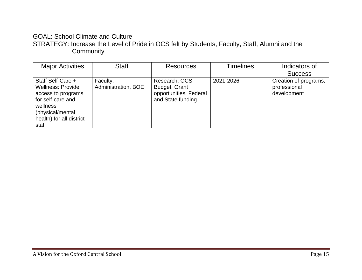#### GOAL: School Climate and Culture STRATEGY: Increase the Level of Pride in OCS felt by Students, Faculty, Staff, Alumni and the **Community**

| <b>Major Activities</b>                                                                                                                                       | <b>Staff</b>                    | <b>Resources</b>                                                              | <b>Timelines</b> | Indicators of                                        |
|---------------------------------------------------------------------------------------------------------------------------------------------------------------|---------------------------------|-------------------------------------------------------------------------------|------------------|------------------------------------------------------|
|                                                                                                                                                               |                                 |                                                                               |                  | <b>Success</b>                                       |
| Staff Self-Care +<br><b>Wellness: Provide</b><br>access to programs<br>for self-care and<br>wellness<br>(physical/mental<br>health) for all district<br>staff | Faculty,<br>Administration, BOE | Research, OCS<br>Budget, Grant<br>opportunities, Federal<br>and State funding | 2021-2026        | Creation of programs,<br>professional<br>development |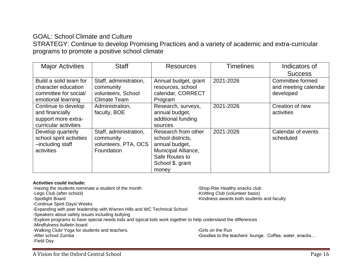#### GOAL: School Climate and Culture

STRATEGY: Continue to develop Promising Practices and a variety of academic and extra-curricular programs to promote a positive school climate

| <b>Major Activities</b>                                                                      | <b>Staff</b>                                                                     | <b>Resources</b>                                                                                                                 | <b>Timelines</b> | Indicators of                                         |
|----------------------------------------------------------------------------------------------|----------------------------------------------------------------------------------|----------------------------------------------------------------------------------------------------------------------------------|------------------|-------------------------------------------------------|
|                                                                                              |                                                                                  |                                                                                                                                  |                  | <b>Success</b>                                        |
| Build a solid team for<br>character education<br>committee for social/<br>emotional learning | Staff, administration,<br>community<br>volunteers, School<br><b>Climate Team</b> | Annual budget, grant<br>resources, school<br>calendar, CORRECT<br>Program                                                        | 2021-2026        | Committee formed<br>and meeting calendar<br>developed |
| Continue to develop<br>and financially<br>support more extra-<br>curricular activities       | Administration,<br>faculty, BOE                                                  | Research, surveys,<br>annual budget,<br>additional funding<br>sources                                                            | 2021-2026        | Creation of new<br>activities                         |
| Develop quarterly<br>school spirit activities<br>-including staff<br>activities              | Staff, administration,<br>community<br>volunteers, PTA, OCS<br>Foundation        | Research from other<br>school districts,<br>annual budget,<br>Municipal Alliance,<br>Safe Routes to<br>School \$, grant<br>money | 2021-2026        | Calendar of events<br>scheduled                       |

#### **Activities could include:**

-Having the students nominate a student of the month -Shop-Rite Healthy snacks club -Lego Club (after school) **-Contract Club (after school)** - Spotlight Board<br>-Spotlight Board **-**Spotlight Board -Kindness awards both students and faculty -Continue Spirit Days/ Weeks -Expanding with peer leadership with Warren Hills and WC Technical School -Speakers about safety issues including bullying -Explore programs to have special needs kids and typical kids work together to help understand the differences -Mindfulness bulletin board -Walking Club/ Yoga for students and teachers. The Contract of the Run students and teachers. -After school Zumba -Goodies to the teachers' lounge. Coffee, water, snacks... -Field Day